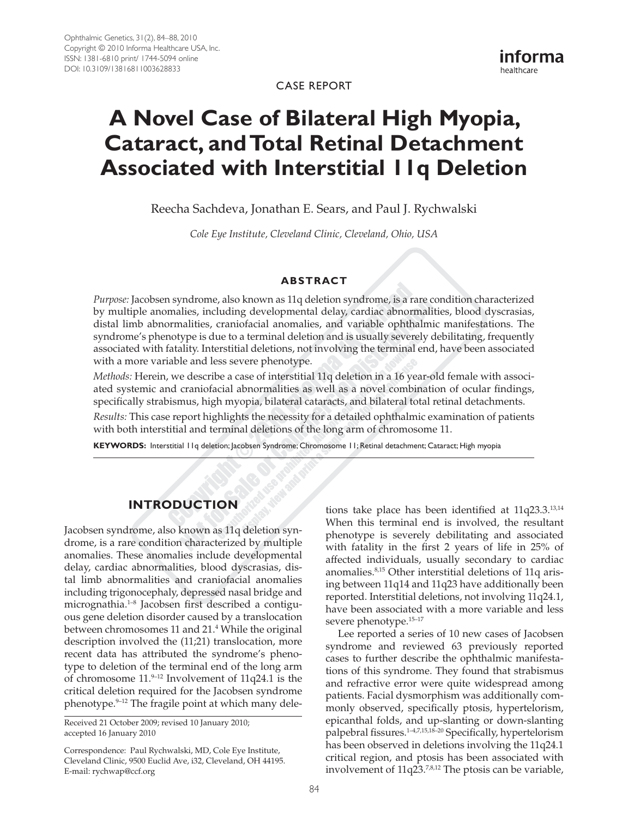case Report

informa healthcare



Reecha Sachdeva, Jonathan E. Sears, and Paul J. Rychwalski

*Cole Eye Institute, Cleveland Clinic, Cleveland, Ohio, USA*

### **ABSTRACT**

*Purpose:* Jacobsen syndrome, also known as 11q deletion syndrome, is a rare condition characterized by multiple anomalies, including developmental delay, cardiac abnormalities, blood dyscrasias, distal limb abnormalities, craniofacial anomalies, and variable ophthalmic manifestations. The syndrome's phenotype is due to a terminal deletion and is usually severely debilitating, frequently associated with fatality. Interstitial deletions, not involving the terminal end, have been associated with a more variable and less severe phenotype.

*Methods:* Herein, we describe a case of interstitial 11q deletion in a 16 year-old female with associated systemic and craniofacial abnormalities as well as a novel combination of ocular findings, specifically strabismus, high myopia, bilateral cataracts, and bilateral total retinal detachments.

*Results:* This case report highlights the necessity for a detailed ophthalmic examination of patients with both interstitial and terminal deletions of the long arm of chromosome 11.

**KEYWORDS:** Interstitial 11q deletion; Jacobsen Syndrome; Chromosome 11; Retinal detachment; Cataract; High myopia

# **Introduction**

Jacobsen syndrome, also known as 11q deletion syndrome, is a rare condition characterized by multiple anomalies. These anomalies include developmental delay, cardiac abnormalities, blood dyscrasias, distal limb abnormalities and craniofacial anomalies including trigonocephaly, depressed nasal bridge and micrognathia.1–8 Jacobsen first described a contiguous gene deletion disorder caused by a translocation between chromosomes 11 and 21.4 While the original description involved the (11;21) translocation, more recent data has attributed the syndrome's phenotype to deletion of the terminal end of the long arm of chromosome  $11.^{9-12}$  Involvement of  $11q24.1$  is the critical deletion required for the Jacobsen syndrome phenotype.9–12 The fragile point at which many dele-

Received 21 October 2009; revised 10 January 2010; accepted 16 January 2010

Correspondence: Paul Rychwalski, MD, Cole Eye Institute, Cleveland Clinic, 9500 Euclid Ave, i32, Cleveland, OH 44195. E-mail: [rychwap@ccf.org](mailto:rychwap@ccf.org)

tions take place has been identified at 11q23.3.13,14 When this terminal end is involved, the resultant phenotype is severely debilitating and associated with fatality in the first 2 years of life in 25% of affected individuals, usually secondary to cardiac anomalies.8,15 Other interstitial deletions of 11q arising between 11q14 and 11q23 have additionally been reported. Interstitial deletions, not involving 11q24.1, have been associated with a more variable and less severe phenotype.<sup>15-17</sup>

Lee reported a series of 10 new cases of Jacobsen syndrome and reviewed 63 previously reported cases to further describe the ophthalmic manifestations of this syndrome. They found that strabismus and refractive error were quite widespread among patients. Facial dysmorphism was additionally commonly observed, specifically ptosis, hypertelorism, epicanthal folds, and up-slanting or down-slanting palpebral fissures.1–4,7,15,18–20 Specifically, hypertelorism has been observed in deletions involving the 11q24.1 critical region, and ptosis has been associated with involvement of 11q23.<sup>7,8,12</sup> The ptosis can be variable,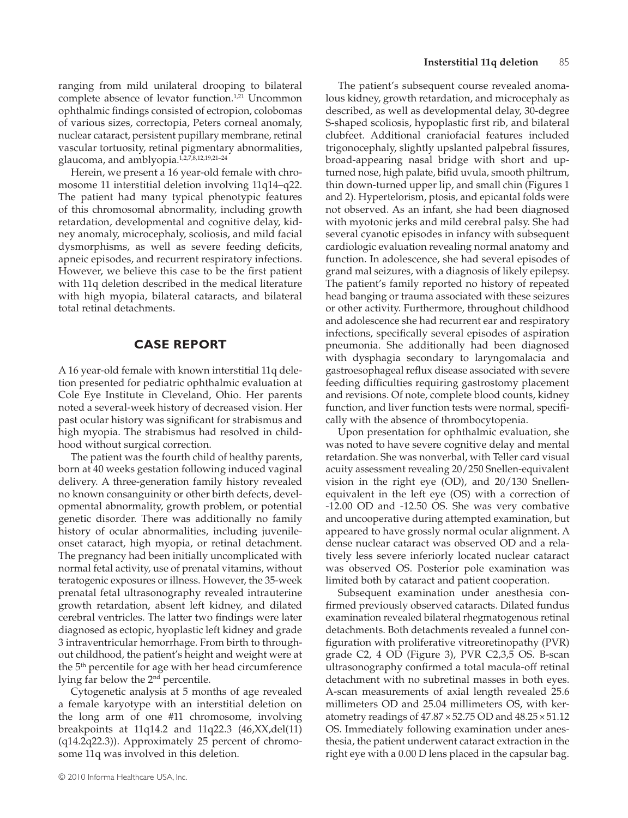ranging from mild unilateral drooping to bilateral complete absence of levator function.<sup>1,21</sup> Uncommon ophthalmic findings consisted of ectropion, colobomas of various sizes, correctopia, Peters corneal anomaly, nuclear cataract, persistent pupillary membrane, retinal vascular tortuosity, retinal pigmentary abnormalities, glaucoma, and amblyopia.<sup>1,2,7,8,12,19,21-24</sup>

Herein, we present a 16 year-old female with chromosome 11 interstitial deletion involving 11q14–q22. The patient had many typical phenotypic features of this chromosomal abnormality, including growth retardation, developmental and cognitive delay, kidney anomaly, microcephaly, scoliosis, and mild facial dysmorphisms, as well as severe feeding deficits, apneic episodes, and recurrent respiratory infections. However, we believe this case to be the first patient with 11q deletion described in the medical literature with high myopia, bilateral cataracts, and bilateral total retinal detachments.

#### **CASE Report**

A 16 year-old female with known interstitial 11q deletion presented for pediatric ophthalmic evaluation at Cole Eye Institute in Cleveland, Ohio. Her parents noted a several-week history of decreased vision. Her past ocular history was significant for strabismus and high myopia. The strabismus had resolved in childhood without surgical correction.

The patient was the fourth child of healthy parents, born at 40 weeks gestation following induced vaginal delivery. A three-generation family history revealed no known consanguinity or other birth defects, developmental abnormality, growth problem, or potential genetic disorder. There was additionally no family history of ocular abnormalities, including juvenileonset cataract, high myopia, or retinal detachment. The pregnancy had been initially uncomplicated with normal fetal activity, use of prenatal vitamins, without teratogenic exposures or illness. However, the 35-week prenatal fetal ultrasonography revealed intrauterine growth retardation, absent left kidney, and dilated cerebral ventricles. The latter two findings were later diagnosed as ectopic, hyoplastic left kidney and grade 3 intraventricular hemorrhage. From birth to throughout childhood, the patient's height and weight were at the 5<sup>th</sup> percentile for age with her head circumference lying far below the 2nd percentile.

Cytogenetic analysis at 5 months of age revealed a female karyotype with an interstitial deletion on the long arm of one #11 chromosome, involving breakpoints at 11q14.2 and 11q22.3 (46,XX,del(11) (q14.2q22.3)). Approximately 25 percent of chromosome 11q was involved in this deletion.

The patient's subsequent course revealed anomalous kidney, growth retardation, and microcephaly as described, as well as developmental delay, 30-degree S-shaped scoliosis, hypoplastic first rib, and bilateral clubfeet. Additional craniofacial features included trigonocephaly, slightly upslanted palpebral fissures, broad-appearing nasal bridge with short and upturned nose, high palate, bifid uvula, smooth philtrum, thin down-turned upper lip, and small chin (Figures 1 and 2). Hypertelorism, ptosis, and epicantal folds were not observed. As an infant, she had been diagnosed with myotonic jerks and mild cerebral palsy. She had several cyanotic episodes in infancy with subsequent cardiologic evaluation revealing normal anatomy and function. In adolescence, she had several episodes of grand mal seizures, with a diagnosis of likely epilepsy. The patient's family reported no history of repeated head banging or trauma associated with these seizures or other activity. Furthermore, throughout childhood and adolescence she had recurrent ear and respiratory infections, specifically several episodes of aspiration pneumonia. She additionally had been diagnosed with dysphagia secondary to laryngomalacia and gastroesophageal reflux disease associated with severe feeding difficulties requiring gastrostomy placement and revisions. Of note, complete blood counts, kidney function, and liver function tests were normal, specifically with the absence of thrombocytopenia.

Upon presentation for ophthalmic evaluation, she was noted to have severe cognitive delay and mental retardation. She was nonverbal, with Teller card visual acuity assessment revealing 20/250 Snellen-equivalent vision in the right eye (OD), and 20/130 Snellenequivalent in the left eye (OS) with a correction of -12.00 OD and -12.50 OS. She was very combative and uncooperative during attempted examination, but appeared to have grossly normal ocular alignment. A dense nuclear cataract was observed OD and a relatively less severe inferiorly located nuclear cataract was observed OS. Posterior pole examination was limited both by cataract and patient cooperation.

Subsequent examination under anesthesia confirmed previously observed cataracts. Dilated fundus examination revealed bilateral rhegmatogenous retinal detachments. Both detachments revealed a funnel configuration with proliferative vitreoretinopathy (PVR) grade C2, 4 OD (Figure 3), PVR C2,3,5 OS. B-scan ultrasonography confirmed a total macula-off retinal detachment with no subretinal masses in both eyes. A-scan measurements of axial length revealed 25.6 millimeters OD and 25.04 millimeters OS, with keratometry readings of  $47.87 \times 52.75$  OD and  $48.25 \times 51.12$ OS. Immediately following examination under anesthesia, the patient underwent cataract extraction in the right eye with a 0.00 D lens placed in the capsular bag.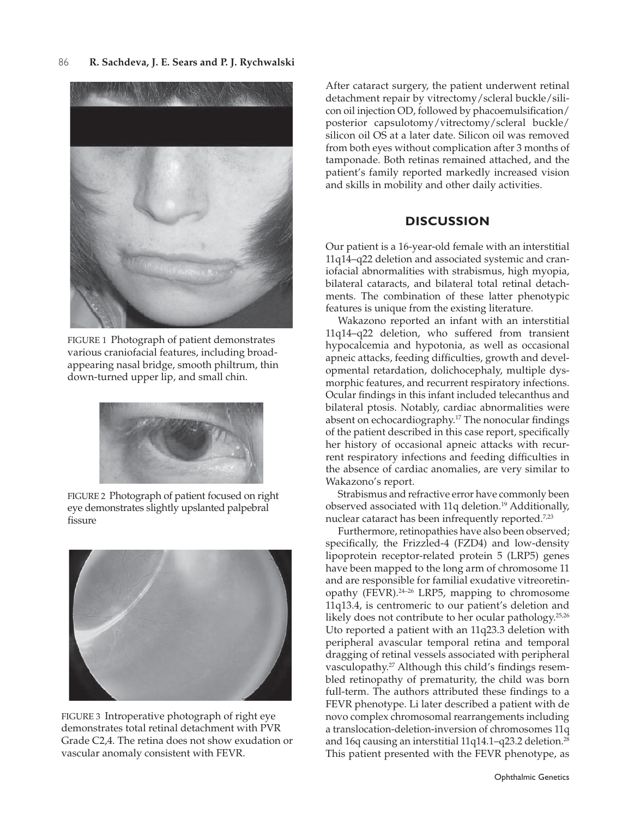

FIGURE 1 Photograph of patient demonstrates various craniofacial features, including broadappearing nasal bridge, smooth philtrum, thin down-turned upper lip, and small chin.



FIGURE 2 Photograph of patient focused on right eye demonstrates slightly upslanted palpebral fissure



FIGURE 3 Introperative photograph of right eye demonstrates total retinal detachment with PVR Grade C2,4. The retina does not show exudation or vascular anomaly consistent with FEVR.

After cataract surgery, the patient underwent retinal detachment repair by vitrectomy/scleral buckle/silicon oil injection OD, followed by phacoemulsification/ posterior capsulotomy/vitrectomy/scleral buckle/ silicon oil OS at a later date. Silicon oil was removed from both eyes without complication after 3 months of tamponade. Both retinas remained attached, and the patient's family reported markedly increased vision and skills in mobility and other daily activities.

# **Discussion**

Our patient is a 16-year-old female with an interstitial 11q14–q22 deletion and associated systemic and craniofacial abnormalities with strabismus, high myopia, bilateral cataracts, and bilateral total retinal detachments. The combination of these latter phenotypic features is unique from the existing literature.

Wakazono reported an infant with an interstitial 11q14–q22 deletion, who suffered from transient hypocalcemia and hypotonia, as well as occasional apneic attacks, feeding difficulties, growth and developmental retardation, dolichocephaly, multiple dysmorphic features, and recurrent respiratory infections. Ocular findings in this infant included telecanthus and bilateral ptosis. Notably, cardiac abnormalities were absent on echocardiography.17 The nonocular findings of the patient described in this case report, specifically her history of occasional apneic attacks with recurrent respiratory infections and feeding difficulties in the absence of cardiac anomalies, are very similar to Wakazono's report.

Strabismus and refractive error have commonly been observed associated with 11q deletion.<sup>19</sup> Additionally, nuclear cataract has been infrequently reported.<sup>7,23</sup>

Furthermore, retinopathies have also been observed; specifically, the Frizzled-4 (FZD4) and low-density lipoprotein receptor-related protein 5 (LRP5) genes have been mapped to the long arm of chromosome 11 and are responsible for familial exudative vitreoretinopathy (FEVR).24–26 LRP5, mapping to chromosome 11q13.4, is centromeric to our patient's deletion and likely does not contribute to her ocular pathology.<sup>25,26</sup> Uto reported a patient with an 11q23.3 deletion with peripheral avascular temporal retina and temporal dragging of retinal vessels associated with peripheral vasculopathy.<sup>27</sup> Although this child's findings resembled retinopathy of prematurity, the child was born full-term. The authors attributed these findings to a FEVR phenotype. Li later described a patient with de novo complex chromosomal rearrangements including a translocation-deletion-inversion of chromosomes 11q and 16q causing an interstitial 11q14.1-q23.2 deletion.<sup>28</sup> This patient presented with the FEVR phenotype, as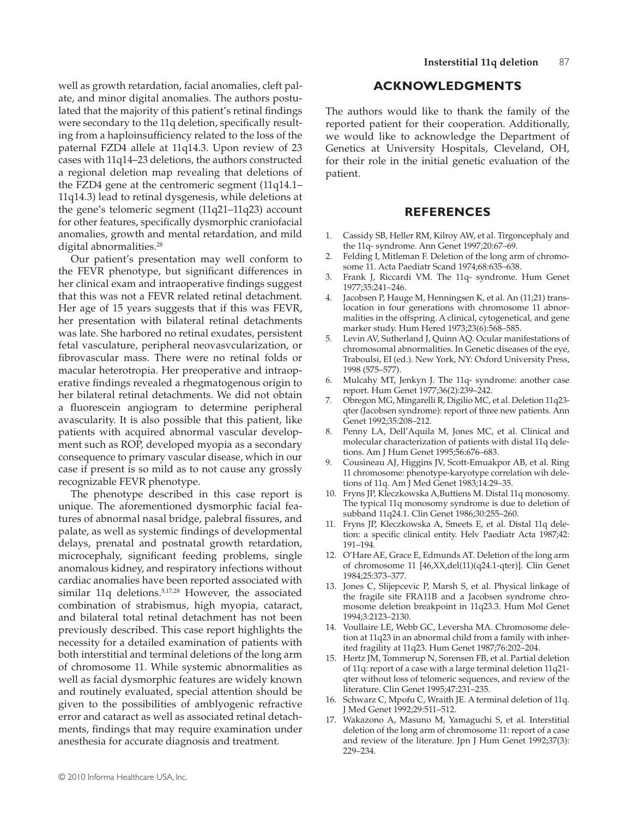well as growth retardation, facial anomalies, cleft palate, and minor digital anomalies. The authors postulated that the majority of this patient's retinal findings were secondary to the 11q deletion, specifically resulting from a haploinsufficiency related to the loss of the paternal FZD4 allele at 11q14.3. Upon review of 23 cases with 11q14–23 deletions, the authors constructed a regional deletion map revealing that deletions of the FZD4 gene at the centromeric segment (11q14.1– 11q14.3) lead to retinal dysgenesis, while deletions at the gene's telomeric segment (11q21–11q23) account for other features, specifically dysmorphic craniofacial anomalies, growth and mental retardation, and mild digital abnormalities.<sup>28</sup>

Our patient's presentation may well conform to the FEVR phenotype, but significant differences in her clinical exam and intraoperative findings suggest that this was not a FEVR related retinal detachment. Her age of 15 years suggests that if this was FEVR, her presentation with bilateral retinal detachments was late. She harbored no retinal exudates, persistent fetal vasculature, peripheral neovasvcularization, or fibrovascular mass. There were no retinal folds or macular heterotropia. Her preoperative and intraoperative findings revealed a rhegmatogenous origin to her bilateral retinal detachments. We did not obtain a fluorescein angiogram to determine peripheral avascularity. It is also possible that this patient, like patients with acquired abnormal vascular development such as ROP, developed myopia as a secondary consequence to primary vascular disease, which in our case if present is so mild as to not cause any grossly recognizable FEVR phenotype.

The phenotype described in this case report is unique. The aforementioned dysmorphic facial features of abnormal nasal bridge, palebral fissures, and palate, as well as systemic findings of developmental delays, prenatal and postnatal growth retardation, microcephaly, significant feeding problems, single anomalous kidney, and respiratory infections without cardiac anomalies have been reported associated with similar 11q deletions.5,17,28 However, the associated combination of strabismus, high myopia, cataract, and bilateral total retinal detachment has not been previously described. This case report highlights the necessity for a detailed examination of patients with both interstitial and terminal deletions of the long arm of chromosome 11. While systemic abnormalities as well as facial dysmorphic features are widely known and routinely evaluated, special attention should be given to the possibilities of amblyogenic refractive error and cataract as well as associated retinal detachments, findings that may require examination under anesthesia for accurate diagnosis and treatment.

# **Acknowledgments**

The authors would like to thank the family of the reported patient for their cooperation. Additionally, we would like to acknowledge the Department of Genetics at University Hospitals, Cleveland, OH, for their role in the initial genetic evaluation of the patient.

#### **References**

- 1. Cassidy SB, Heller RM, Kilroy AW, et al. Tirgoncephaly and the 11q- syndrome. Ann Genet 1997;20:67–69.
- 2. Felding I, Mitleman F. Deletion of the long arm of chromosome 11. Acta Paediatr Scand 1974;68:635–638.
- 3. Frank J, Riccardi VM. The 11q- syndrome. Hum Genet 1977;35:241–246.
- 4. Jacobsen P, Hauge M, Henningsen K, et al. An (11;21) translocation in four generations with chromosome 11 abnormalities in the offspring. A clinical, cytogenetical, and gene marker study. Hum Hered 1973;23(6):568–585.
- Levin AV, Sutherland J, Quinn AQ. Ocular manifestations of chromosomal abnormalities. In Genetic diseases of the eye, Traboulsi, EI (ed.). New York, NY: Oxford University Press, 1998 (575–577).
- 6. Mulcahy MT, Jenkyn J. The 11q- syndrome: another case report. Hum Genet 1977;36(2):239–242.
- 7. Obregon MG, Mingarelli R, Digilio MC, et al. Deletion 11q23 qter (Jacobsen syndrome): report of three new patients. Ann Genet 1992;35:208–212.
- 8. Penny LA, Dell'Aquila M, Jones MC, et al. Clinical and molecular characterization of patients with distal 11q deletions. Am J Hum Genet 1995;56:676–683.
- 9. Cousineau AJ, Higgins JV, Scott-Emuakpor AB, et al. Ring 11 chromosome: phenotype-karyotype correlation wih deletions of 11q. Am J Med Genet 1983;14:29–35.
- 10. Fryns JP, Kleczkowska A,Buttiens M. Distal 11q monosomy. The typical 11q monosomy syndrome is due to deletion of subband 11q24.1. Clin Genet 1986;30:255–260.
- 11. Fryns JP, Kleczkowska A, Smeets E, et al. Distal 11q deletion: a specific clinical entity. Helv Paediatr Acta 1987;42: 191–194.
- 12. O'Hare AE, Grace E, Edmunds AT. Deletion of the long arm of chromosome 11 [46,XX,del(11)(q24.1-qter)]. Clin Genet 1984;25:373–377.
- 13. Jones C, Slijepcevic P, Marsh S, et al. Physical linkage of the fragile site FRA11B and a Jacobsen syndrome chromosome deletion breakpoint in 11q23.3. Hum Mol Genet 1994;3:2123–2130.
- 14. Voullaire LE, Webb GC, Leversha MA. Chromosome deletion at 11q23 in an abnormal child from a family with inherited fragility at 11q23. Hum Genet 1987;76:202–204.
- 15. Hertz JM, Tommerup N, Sorensen FB, et al. Partial deletion of 11q: report of a case with a large terminal deletion 11q21 qter without loss of telomeric sequences, and review of the literature. Clin Genet 1995;47:231–235.
- 16. Schwarz C, Mpofu C, Wraith JE. A terminal deletion of 11q. J Med Genet 1992;29:511–512.
- 17. Wakazono A, Masuno M, Yamaguchi S, et al. Interstitial deletion of the long arm of chromosome 11: report of a case and review of the literature. Jpn J Hum Genet 1992;37(3): 229–234.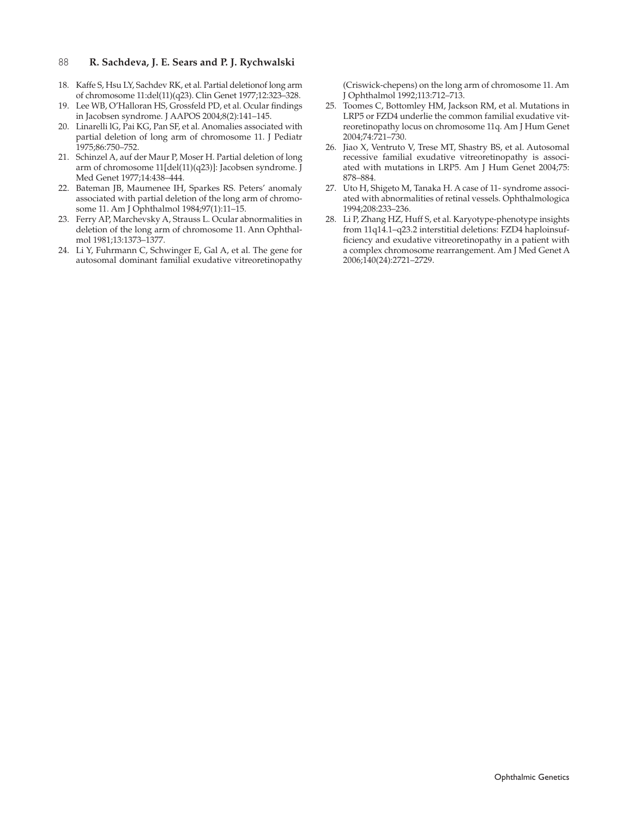#### 88 **R. Sachdeva, J. E. Sears and P. J. Rychwalski**

- 18. Kaffe S, Hsu LY, Sachdev RK, et al. Partial deletionof long arm of chromosome 11:del(11)(q23). Clin Genet 1977;12:323–328.
- 19. Lee WB, O'Halloran HS, Grossfeld PD, et al. Ocular findings in Jacobsen syndrome. J AAPOS 2004;8(2):141–145.
- 20. Linarelli lG, Pai KG, Pan SF, et al. Anomalies associated with partial deletion of long arm of chromosome 11. J Pediatr 1975;86:750–752.
- 21. Schinzel A, auf der Maur P, Moser H. Partial deletion of long arm of chromosome 11[del(11)(q23)]: Jacobsen syndrome. J Med Genet 1977;14:438–444.
- 22. Bateman JB, Maumenee IH, Sparkes RS. Peters' anomaly associated with partial deletion of the long arm of chromosome 11. Am J Ophthalmol 1984;97(1):11–15.
- 23. Ferry AP, Marchevsky A, Strauss L. Ocular abnormalities in deletion of the long arm of chromosome 11. Ann Ophthalmol 1981;13:1373–1377.
- 24. Li Y, Fuhrmann C, Schwinger E, Gal A, et al. The gene for autosomal dominant familial exudative vitreoretinopathy

(Criswick-chepens) on the long arm of chromosome 11. Am J Ophthalmol 1992;113:712–713.

- 25. Toomes C, Bottomley HM, Jackson RM, et al. Mutations in LRP5 or FZD4 underlie the common familial exudative vitreoretinopathy locus on chromosome 11q. Am J Hum Genet 2004;74:721–730.
- 26. Jiao X, Ventruto V, Trese MT, Shastry BS, et al. Autosomal recessive familial exudative vitreoretinopathy is associated with mutations in LRP5. Am J Hum Genet 2004;75: 878–884.
- 27. Uto H, Shigeto M, Tanaka H. A case of 11- syndrome associated with abnormalities of retinal vessels. Ophthalmologica 1994;208:233–236.
- 28. Li P, Zhang HZ, Huff S, et al. Karyotype-phenotype insights from 11q14.1–q23.2 interstitial deletions: FZD4 haploinsufficiency and exudative vitreoretinopathy in a patient with a complex chromosome rearrangement. Am J Med Genet A 2006;140(24):2721–2729.